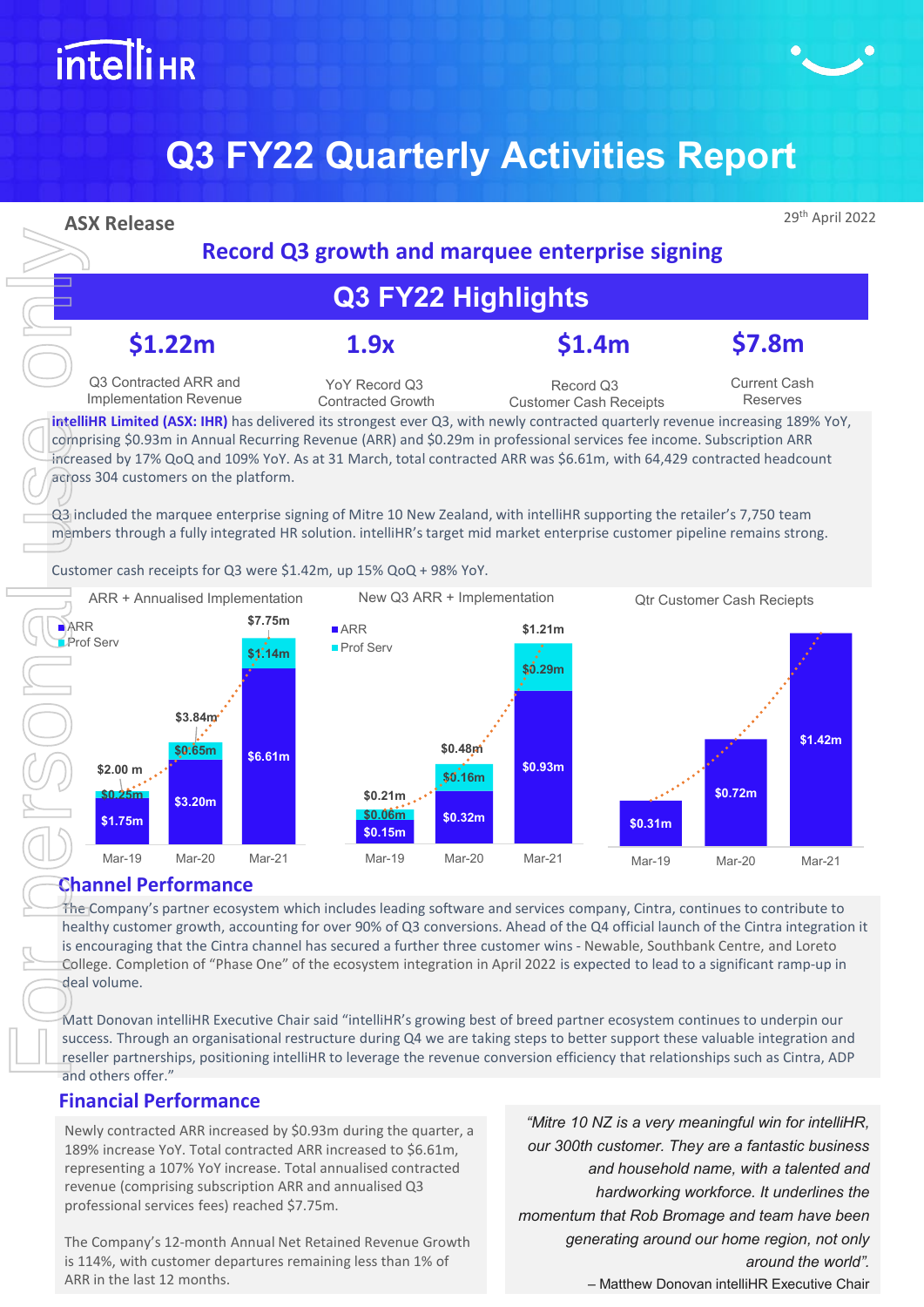# **intelliHR**

## **Q3 FY22 Quarterly Activities Report**



#### **Financial Performance**

Newly contracted ARR increased by \$0.93m during the quarter, a 189% increase YoY. Total contracted ARR increased to \$6.61m, representing a 107% YoY increase. Total annualised contracted revenue (comprising subscription ARR and annualised Q3 professional services fees) reached \$7.75m.

The Company's 12-month Annual Net Retained Revenue Growth is 114%, with customer departures remaining less than 1% of ARR in the last 12 months.

*"Mitre 10 NZ is a very meaningful win for intelliHR, our 300th customer. They are a fantastic business and household name, with a talented and hardworking workforce. It underlines the momentum that Rob Bromage and team have been generating around our home region, not only around the world".* – Matthew Donovan intelliHR Executive Chair

**Record Q3 growth and marquee enterprise signing**

## **Q3 FY22 Highlights**

Record Q3 Customer Cash Receipts Current Cash Reserves

**intelliHR Limited (ASX: IHR)** has delivered its strongest ever Q3, with newly contracted quarterly revenue increasing 189% YoY, comprising \$0.93m in Annual Recurring Revenue (ARR) and \$0.29m in professional services fee income. Subscription ARR increased by 17% QoQ and 109% YoY. As at 31 March, total contracted ARR was \$6.61m, with 64,429 contracted headcount

Q3 included the marquee enterprise signing of Mitre 10 New Zealand, with intelliHR supporting the retailer's 7,750 team members through a fully integrated HR solution. intelliHR's target mid market enterprise customer pipeline remains strong.



The Company's partner ecosystem which includes leading software and services company, Cintra, continues to contribute to healthy customer growth, accounting for over 90% of Q3 conversions. Ahead of the Q4 official launch of the Cintra integration it is encouraging that the Cintra channel has secured a further three customer wins - Newable, Southbank Centre, and Loreto College. Completion of "Phase One" of the ecosystem integration in April 2022 is expected to lead to a significant ramp-up in

Matt Donovan intelliHR Executive Chair said "intelliHR's growing best of breed partner ecosystem continues to underpin our success. Through an organisational restructure during Q4 we are taking steps to better support these valuable integration and reseller partnerships, positioning intelliHR to leverage the revenue conversion efficiency that relationships such as Cintra, ADP and others offer."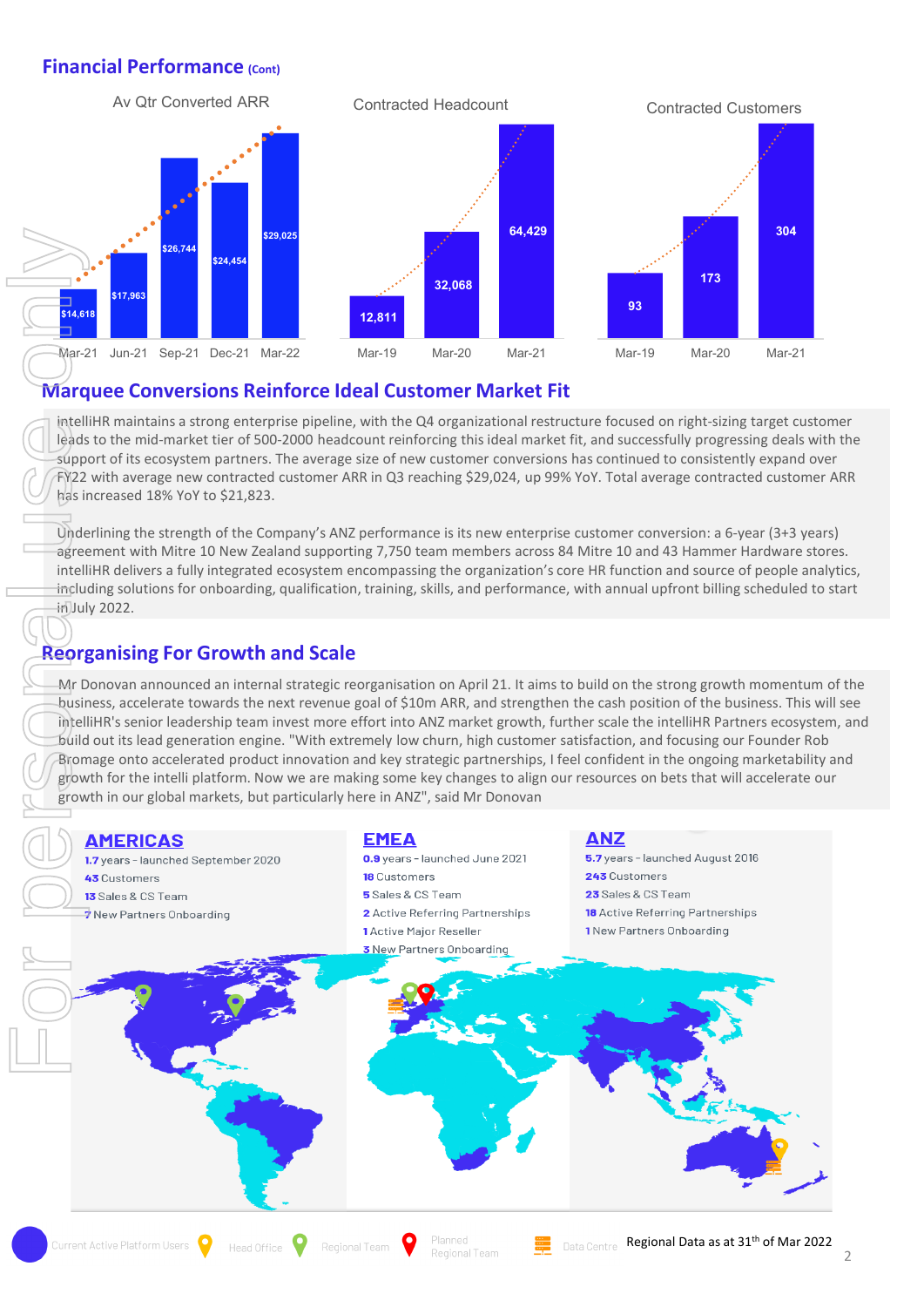#### **Financial Performance (Cont)**



#### **Marquee Conversions Reinforce Ideal Customer Market Fit**

intelliHR maintains a strong enterprise pipeline, with the Q4 organizational restructure focused on right-sizing target customer leads to the mid-market tier of 500-2000 headcount reinforcing this ideal market fit, and successfully progressing deals with the support of its ecosystem partners. The average size of new customer conversions has continued to consistently expand over FY22 with average new contracted customer ARR in Q3 reaching \$29,024, up 99% YoY. Total average contracted customer ARR has increased 18% YoY to \$21,823.

Underlining the strength of the Company's ANZ performance is its new enterprise customer conversion: a 6-year (3+3 years) agreement with Mitre 10 New Zealand supporting 7,750 team members across 84 Mitre 10 and 43 Hammer Hardware stores. intelliHR delivers a fully integrated ecosystem encompassing the organization's core HR function and source of people analytics, including solutions for onboarding, qualification, training, skills, and performance, with annual upfront billing scheduled to start  $im$ July 2022.

#### **Reorganising For Growth and Scale**

Mr Donovan announced an internal strategic reorganisation on April 21. It aims to build on the strong growth momentum of the business, accelerate towards the next revenue goal of \$10m ARR, and strengthen the cash position of the business. This will see intelliHR's senior leadership team invest more effort into ANZ market growth, further scale the intelliHR Partners ecosystem, and build out its lead generation engine. "With extremely low churn, high customer satisfaction, and focusing our Founder Rob Bromage onto accelerated product innovation and key strategic partnerships, I feel confident in the ongoing marketability and growth for the intelli platform. Now we are making some key changes to align our resources on bets that will accelerate our

Regional Team

- **ANZ**
- 5.7 years launched August 2016 243 Customers 23 Sales & CS Team **18** Active Referring Partnerships 1 New Partners Onboarding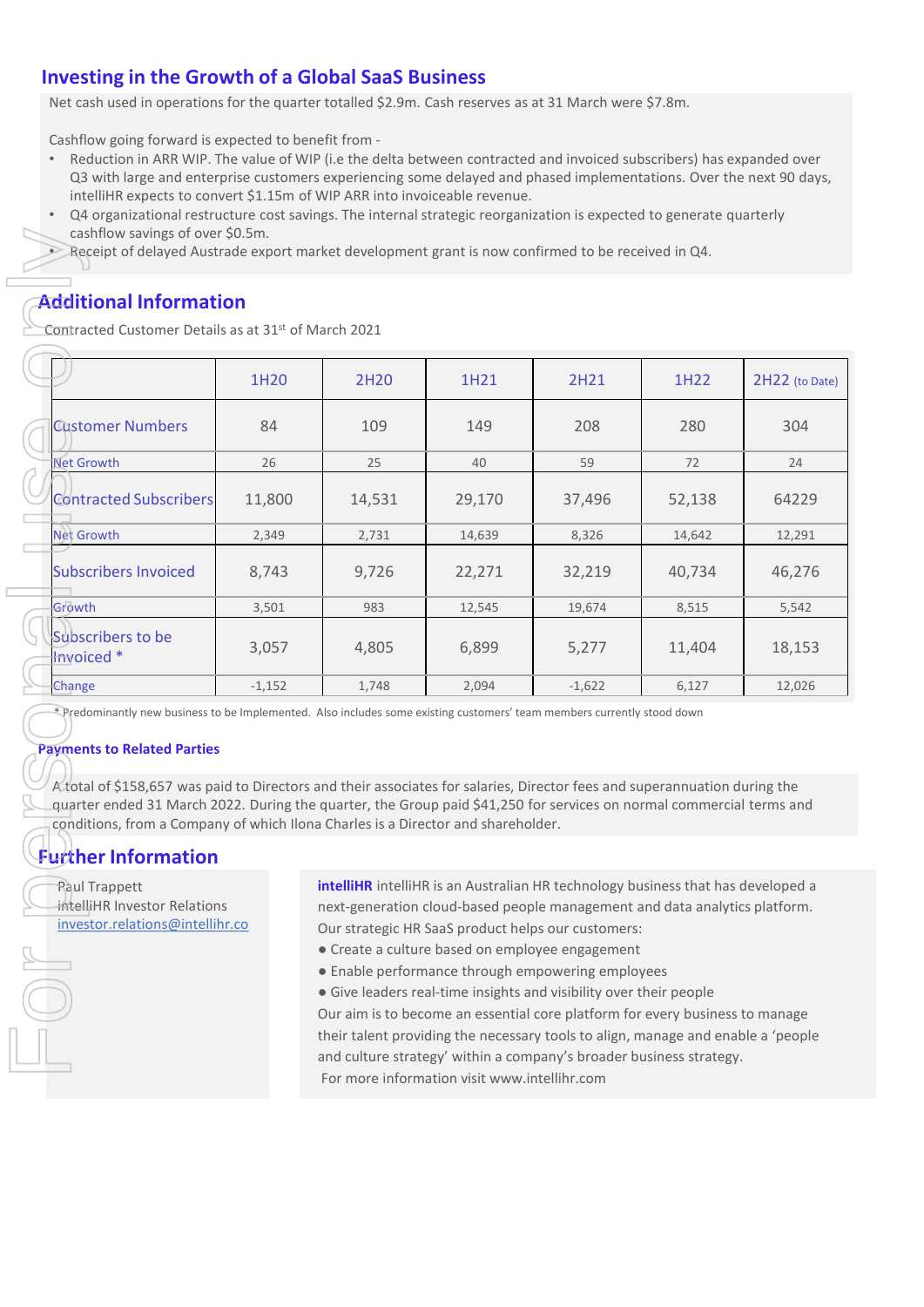#### **Investing in the Growth of a Global SaaS Business**

Net cash used in operations for the quarter totalled \$2.9m. Cash reserves as at 31 March were \$7.8m.

Cashflow going forward is expected to benefit from -

- Reduction in ARR WIP. The value of WIP (i.e the delta between contracted and invoiced subscribers) has expanded over Q3 with large and enterprise customers experiencing some delayed and phased implementations. Over the next 90 days, intelliHR expects to convert \$1.15m of WIP ARR into invoiceable revenue.
- Q4 organizational restructure cost savings. The internal strategic reorganization is expected to generate quarterly cashflow savings of over \$0.5m.
	- Receipt of delayed Austrade export market development grant is now confirmed to be received in Q4.

#### **Additional Information**

| cashflow savings of over \$0.5m.<br>Receipt of delayed Austrade export market development grant is now confirmed to be received in Q4.                                                                                                                                                                                                                                                                                                                                                                                                                                                                                                                            |                                                                                                                                                                                                                                                                                                                                                                                                                                                                                                        |        |        |          |        |                |
|-------------------------------------------------------------------------------------------------------------------------------------------------------------------------------------------------------------------------------------------------------------------------------------------------------------------------------------------------------------------------------------------------------------------------------------------------------------------------------------------------------------------------------------------------------------------------------------------------------------------------------------------------------------------|--------------------------------------------------------------------------------------------------------------------------------------------------------------------------------------------------------------------------------------------------------------------------------------------------------------------------------------------------------------------------------------------------------------------------------------------------------------------------------------------------------|--------|--------|----------|--------|----------------|
| <b>Additional Information</b><br>Contracted Customer Details as at 31 <sup>st</sup> of March 2021                                                                                                                                                                                                                                                                                                                                                                                                                                                                                                                                                                 |                                                                                                                                                                                                                                                                                                                                                                                                                                                                                                        |        |        |          |        |                |
|                                                                                                                                                                                                                                                                                                                                                                                                                                                                                                                                                                                                                                                                   | 1H20                                                                                                                                                                                                                                                                                                                                                                                                                                                                                                   | 2H20   | 1H21   | 2H21     | 1H22   | 2H22 (to Date) |
| <b>Customer Numbers</b>                                                                                                                                                                                                                                                                                                                                                                                                                                                                                                                                                                                                                                           | 84                                                                                                                                                                                                                                                                                                                                                                                                                                                                                                     | 109    | 149    | 208      | 280    | 304            |
| Net Growth                                                                                                                                                                                                                                                                                                                                                                                                                                                                                                                                                                                                                                                        | 26                                                                                                                                                                                                                                                                                                                                                                                                                                                                                                     | 25     | 40     | 59       | 72     | 24             |
| <b>Contracted Subscribers</b>                                                                                                                                                                                                                                                                                                                                                                                                                                                                                                                                                                                                                                     | 11,800                                                                                                                                                                                                                                                                                                                                                                                                                                                                                                 | 14,531 | 29,170 | 37,496   | 52,138 | 64229          |
| <b>Net Growth</b>                                                                                                                                                                                                                                                                                                                                                                                                                                                                                                                                                                                                                                                 | 2,349                                                                                                                                                                                                                                                                                                                                                                                                                                                                                                  | 2,731  | 14,639 | 8,326    | 14,642 | 12,291         |
| <b>Subscribers Invoiced</b>                                                                                                                                                                                                                                                                                                                                                                                                                                                                                                                                                                                                                                       | 8,743                                                                                                                                                                                                                                                                                                                                                                                                                                                                                                  | 9,726  | 22,271 | 32,219   | 40,734 | 46,276         |
| Growth                                                                                                                                                                                                                                                                                                                                                                                                                                                                                                                                                                                                                                                            | 3,501                                                                                                                                                                                                                                                                                                                                                                                                                                                                                                  | 983    | 12,545 | 19,674   | 8,515  | 5,542          |
| Subscribers to be<br>Invoiced *                                                                                                                                                                                                                                                                                                                                                                                                                                                                                                                                                                                                                                   | 3,057                                                                                                                                                                                                                                                                                                                                                                                                                                                                                                  | 4,805  | 6,899  | 5,277    | 11,404 | 18,153         |
| Change                                                                                                                                                                                                                                                                                                                                                                                                                                                                                                                                                                                                                                                            | $-1,152$                                                                                                                                                                                                                                                                                                                                                                                                                                                                                               | 1,748  | 2,094  | $-1,622$ | 6,127  | 12,026         |
|                                                                                                                                                                                                                                                                                                                                                                                                                                                                                                                                                                                                                                                                   | *Predominantly new business to be Implemented. Also includes some existing customers' team members currently stood down<br><b>Payments to Related Parties</b><br>A total of \$158,657 was paid to Directors and their associates for salaries, Director fees and superannuation during the<br>quarter ended 31 March 2022. During the quarter, the Group paid \$41,250 for services on normal commercial terms and<br>conditions, from a Company of which Ilona Charles is a Director and shareholder. |        |        |          |        |                |
| <b>Further Information</b>                                                                                                                                                                                                                                                                                                                                                                                                                                                                                                                                                                                                                                        |                                                                                                                                                                                                                                                                                                                                                                                                                                                                                                        |        |        |          |        |                |
| intelliHR intelliHR is an Australian HR technology business that has developed a<br><b>Raul Trappett</b><br>intelliHR Investor Relations<br>next-generation cloud-based people management and data analytics platform.<br>investor.relations@intellihr.co<br>Our strategic HR SaaS product helps our customers:<br>• Create a culture based on employee engagement<br>• Enable performance through empowering employees<br>· Give leaders real-time insights and visibility over their people<br>Our aim is to become an essential core platform for every business to manage<br>their talent providing the necessary tools to align, manage and enable a 'people |                                                                                                                                                                                                                                                                                                                                                                                                                                                                                                        |        |        |          |        |                |
|                                                                                                                                                                                                                                                                                                                                                                                                                                                                                                                                                                                                                                                                   | and culture strategy' within a company's broader business strategy.                                                                                                                                                                                                                                                                                                                                                                                                                                    |        |        |          |        |                |

#### **Payments to Related Parties**

#### **Further Information**

- Create a culture based on employee engagement
- Enable performance through empowering employees
- Give leaders real-time insights and visibility over their people

Our aim is to become an essential core platform for every business to manage their talent providing the necessary tools to align, manage and enable a 'people and culture strategy' within a company's broader business strategy. For more information visit www.intellihr.com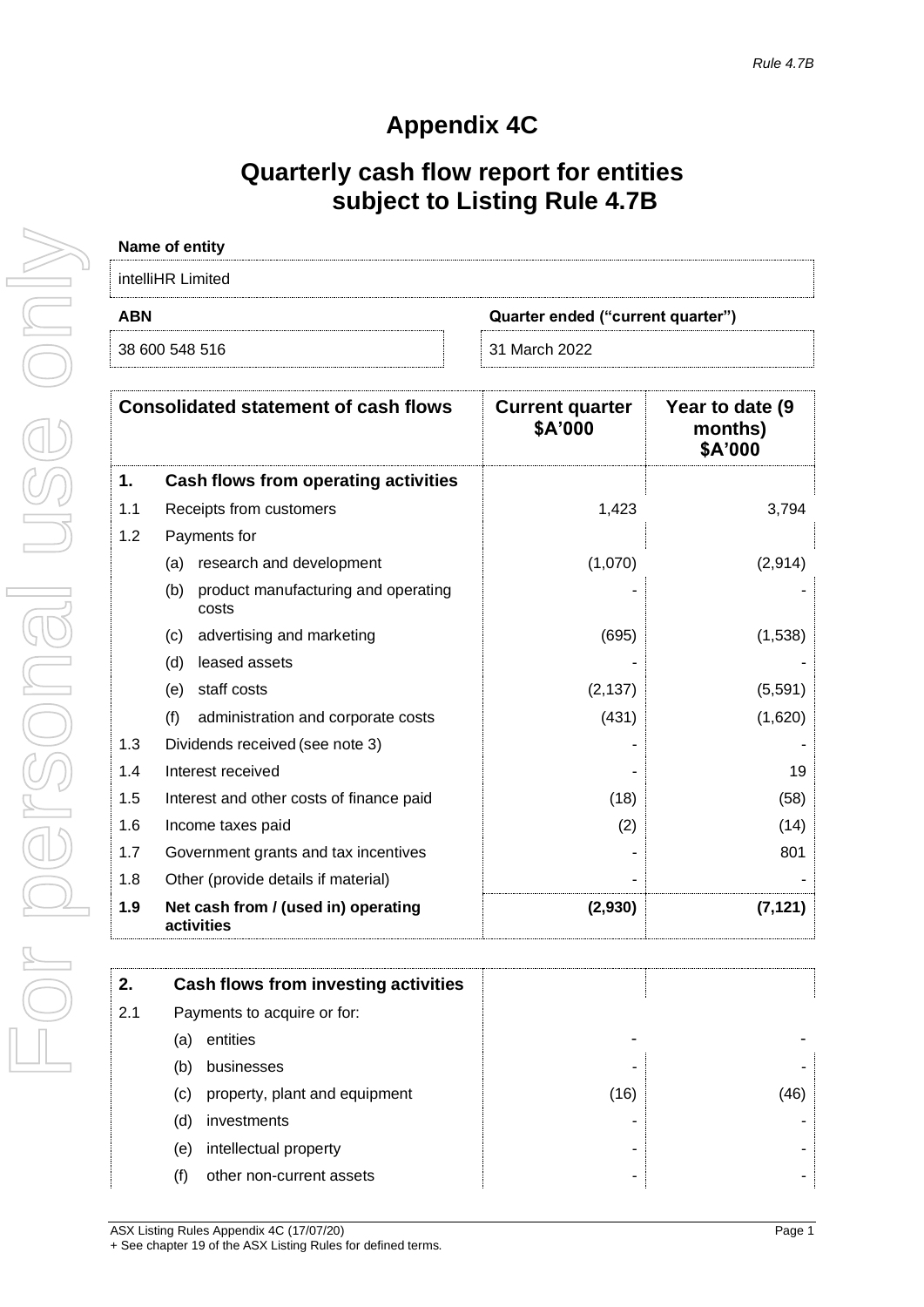### **Appendix 4C**

### **Quarterly cash flow report for entities subject to Listing Rule 4.7B**

| Name of entity                                  |               |  |  |  |
|-------------------------------------------------|---------------|--|--|--|
| intelliHR Limited                               |               |  |  |  |
| <b>ABN</b><br>Quarter ended ("current quarter") |               |  |  |  |
| 38 600 548 516                                  | 31 March 2022 |  |  |  |

|     | <b>Consolidated statement of cash flows</b>         | <b>Current quarter</b><br>\$A'000 | Year to date (9)<br>months)<br>\$A'000 |
|-----|-----------------------------------------------------|-----------------------------------|----------------------------------------|
| 1.  | Cash flows from operating activities                |                                   |                                        |
| 1.1 | Receipts from customers                             | 1,423                             | 3,794                                  |
| 1.2 | Payments for                                        |                                   |                                        |
|     | research and development<br>(a)                     | (1,070)                           | (2,914)                                |
|     | product manufacturing and operating<br>(b)<br>costs |                                   |                                        |
|     | advertising and marketing<br>(c)                    | (695)                             | (1,538)                                |
|     | leased assets<br>(d)                                |                                   |                                        |
|     | staff costs<br>(e)                                  | (2, 137)                          | (5,591)                                |
|     | (f)<br>administration and corporate costs           | (431)                             | (1,620)                                |
| 1.3 | Dividends received (see note 3)                     |                                   |                                        |
| 1.4 | Interest received                                   |                                   | 19                                     |
| 1.5 | Interest and other costs of finance paid            | (18)                              | (58)                                   |
| 1.6 | Income taxes paid                                   | (2)                               | (14)                                   |
| 1.7 | Government grants and tax incentives                |                                   | 801                                    |
| 1.8 | Other (provide details if material)                 |                                   |                                        |
| 1.9 | Net cash from / (used in) operating<br>activities   | (2,930)                           | (7, 121)                               |

| 2.  | Cash flows from investing activities |      |    |
|-----|--------------------------------------|------|----|
| 2.1 | Payments to acquire or for:          |      |    |
|     | entities<br>(a)                      |      |    |
|     | businesses<br>(b)                    |      |    |
|     | property, plant and equipment<br>(C) | (16) | 46 |
|     | investments<br>(d)                   |      |    |
|     | intellectual property<br>(e)         |      |    |
|     | other non-current assets<br>(f)      |      |    |
|     |                                      |      |    |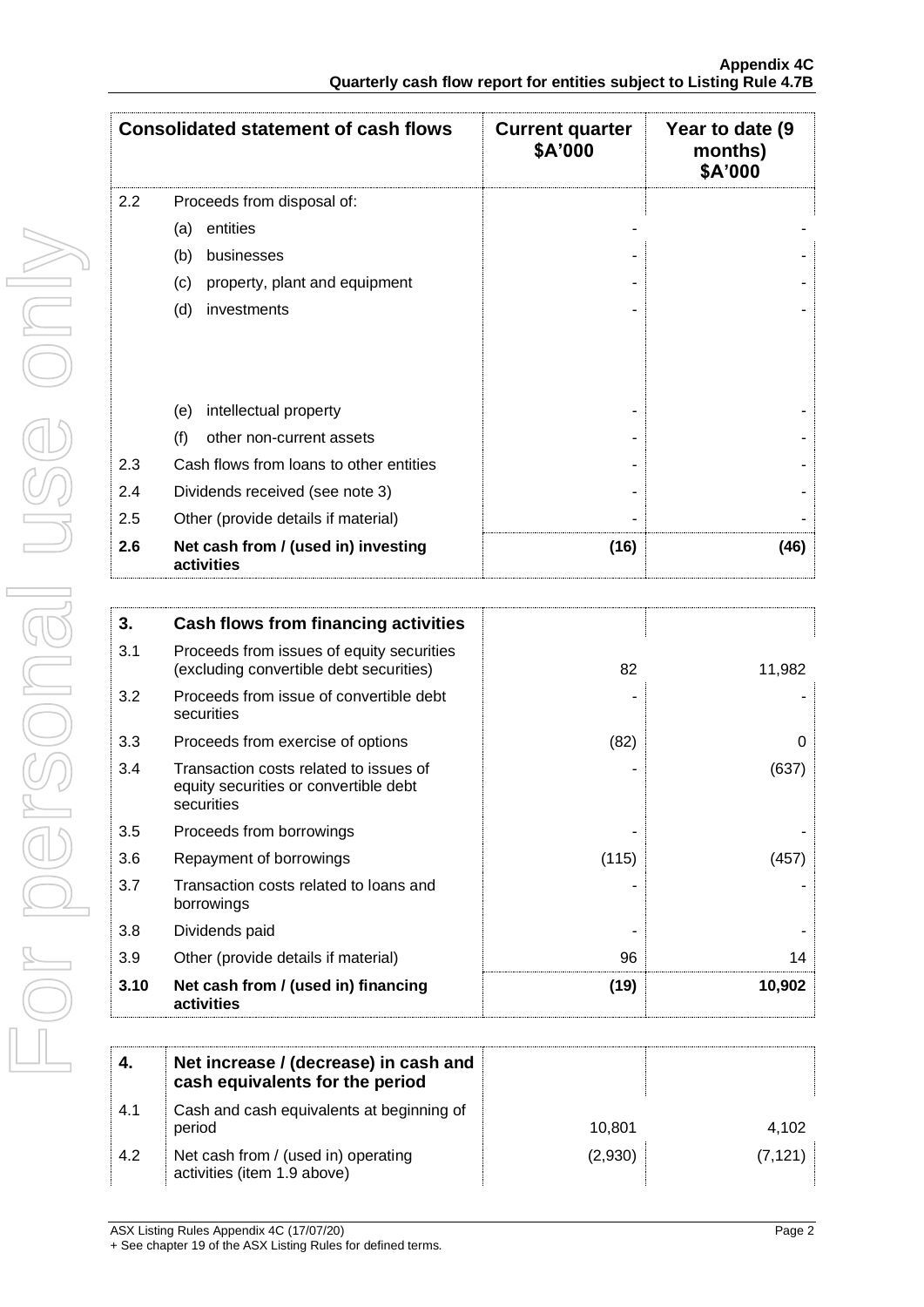|     | <b>Consolidated statement of cash flows</b>       | <b>Current quarter</b><br>\$A'000 | Year to date (9)<br>months)<br>\$A'000 |
|-----|---------------------------------------------------|-----------------------------------|----------------------------------------|
| 2.2 | Proceeds from disposal of:                        |                                   |                                        |
|     | entities<br>(a)                                   |                                   |                                        |
|     | (b)<br>businesses                                 |                                   |                                        |
|     | (c)<br>property, plant and equipment              |                                   |                                        |
|     | (d)<br>investments                                |                                   |                                        |
|     |                                                   |                                   |                                        |
|     | intellectual property<br>(e)                      |                                   |                                        |
|     | (f)<br>other non-current assets                   |                                   |                                        |
| 2.3 | Cash flows from loans to other entities           |                                   |                                        |
| 2.4 | Dividends received (see note 3)                   |                                   |                                        |
| 2.5 | Other (provide details if material)               |                                   |                                        |
| 2.6 | Net cash from / (used in) investing<br>activities | (16)                              | (46)                                   |

| 3.   | Cash flows from financing activities                                                          |       |              |
|------|-----------------------------------------------------------------------------------------------|-------|--------------|
| 3.1  | Proceeds from issues of equity securities<br>(excluding convertible debt securities)          | 82    | 11,982       |
| 3.2  | Proceeds from issue of convertible debt<br>securities                                         |       |              |
| 3.3  | Proceeds from exercise of options                                                             | (82)  | <sup>0</sup> |
| 3.4  | Transaction costs related to issues of<br>equity securities or convertible debt<br>securities |       | (637)        |
| 3.5  | Proceeds from borrowings                                                                      |       |              |
| 3.6  | Repayment of borrowings                                                                       | (115) | (457)        |
| 3.7  | Transaction costs related to loans and<br>borrowings                                          |       |              |
| 3.8  | Dividends paid                                                                                |       |              |
| 3.9  | Other (provide details if material)                                                           | 96    | 14           |
| 3.10 | Net cash from / (used in) financing<br>activities                                             | (19)  | 10,902       |
| 4.   | Net increase / (decrease) in cash and<br>cash caujualents for the period                      |       |              |

| 4.  | Net increase / (decrease) in cash and<br>cash equivalents for the period |         |          |
|-----|--------------------------------------------------------------------------|---------|----------|
| 4.1 | Cash and cash equivalents at beginning of<br>period                      | 10.801  | 4,102    |
| 4.2 | Net cash from / (used in) operating<br>activities (item 1.9 above)       | (2,930) | (7, 121) |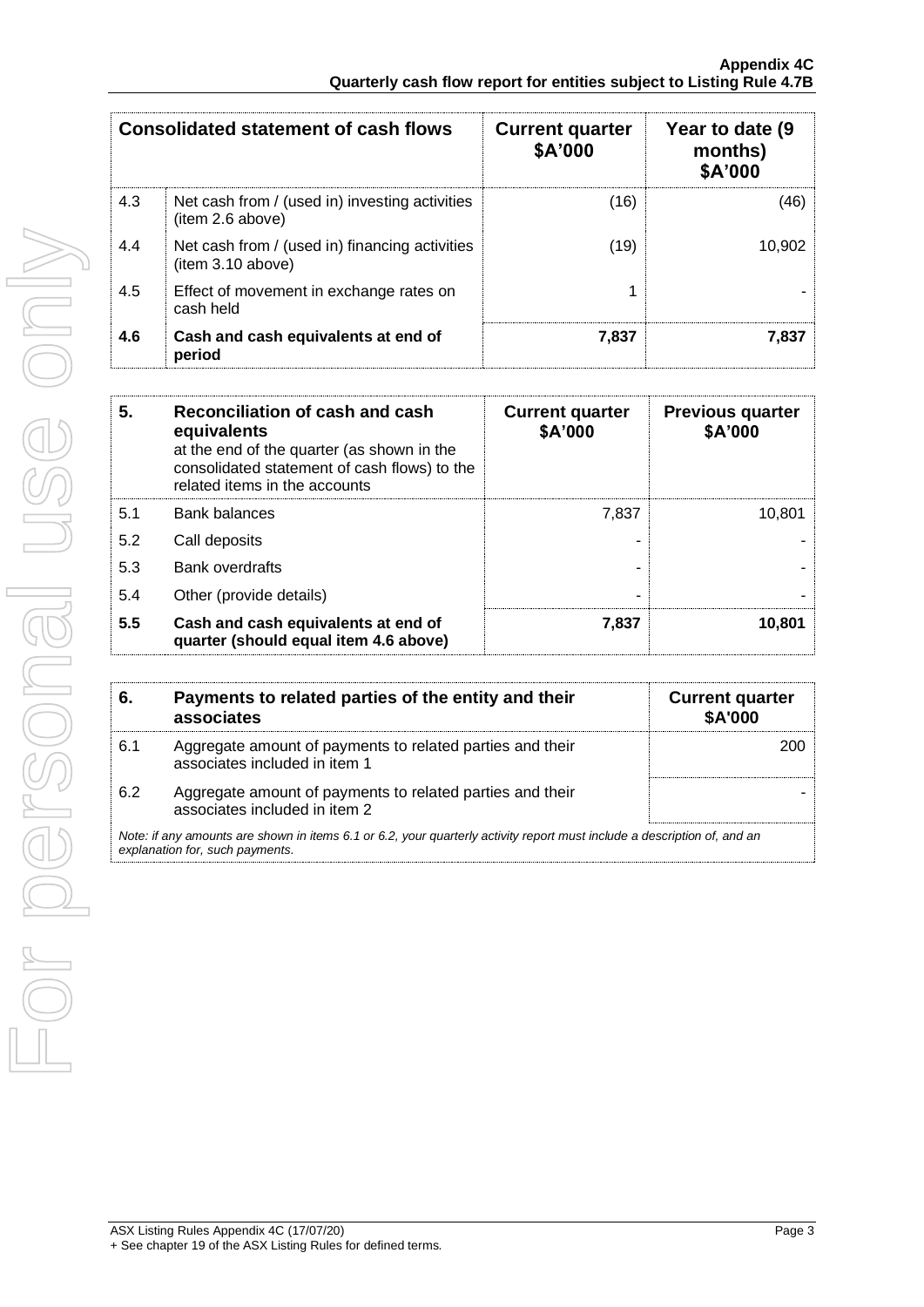| <b>Consolidated statement of cash flows</b> |                                                                     | <b>Current quarter</b><br>\$A'000 | Year to date (9)<br>months)<br>\$A'000 |
|---------------------------------------------|---------------------------------------------------------------------|-----------------------------------|----------------------------------------|
| 4.3                                         | Net cash from / (used in) investing activities<br>(item 2.6 above)  | (16)                              | (46)                                   |
| 4.4                                         | Net cash from / (used in) financing activities<br>(item 3.10 above) | (19)                              | 10.902                                 |
| 4.5                                         | Effect of movement in exchange rates on<br>cash held                |                                   |                                        |
| 4.6                                         | Cash and cash equivalents at end of<br>period                       | 7,837                             | 7.837                                  |

| 5.  | Reconciliation of cash and cash<br>equivalents<br>at the end of the quarter (as shown in the<br>consolidated statement of cash flows) to the<br>related items in the accounts | <b>Current quarter</b><br>\$A'000 | <b>Previous quarter</b><br>\$A'000 |
|-----|-------------------------------------------------------------------------------------------------------------------------------------------------------------------------------|-----------------------------------|------------------------------------|
| 5.1 | <b>Bank balances</b>                                                                                                                                                          | 7.837                             | 10.801                             |
| 5.2 | Call deposits                                                                                                                                                                 |                                   |                                    |
| 5.3 | <b>Bank overdrafts</b>                                                                                                                                                        |                                   |                                    |
| 5.4 | Other (provide details)                                                                                                                                                       |                                   |                                    |
| 5.5 | Cash and cash equivalents at end of<br>quarter (should equal item 4.6 above)                                                                                                  | 7,837                             | 10,801                             |

| 6.  | Payments to related parties of the entity and their<br>associates                                                                                           | <b>Current quarter</b><br><b>\$A'000</b> |  |  |  |
|-----|-------------------------------------------------------------------------------------------------------------------------------------------------------------|------------------------------------------|--|--|--|
| 6.1 | Aggregate amount of payments to related parties and their<br>associates included in item 1                                                                  |                                          |  |  |  |
| 6.2 | Aggregate amount of payments to related parties and their<br>associates included in item 2                                                                  |                                          |  |  |  |
|     | Note: if any amounts are shown in items 6.1 or 6.2, your quarterly activity report must include a description of, and an<br>explanation for, such payments. |                                          |  |  |  |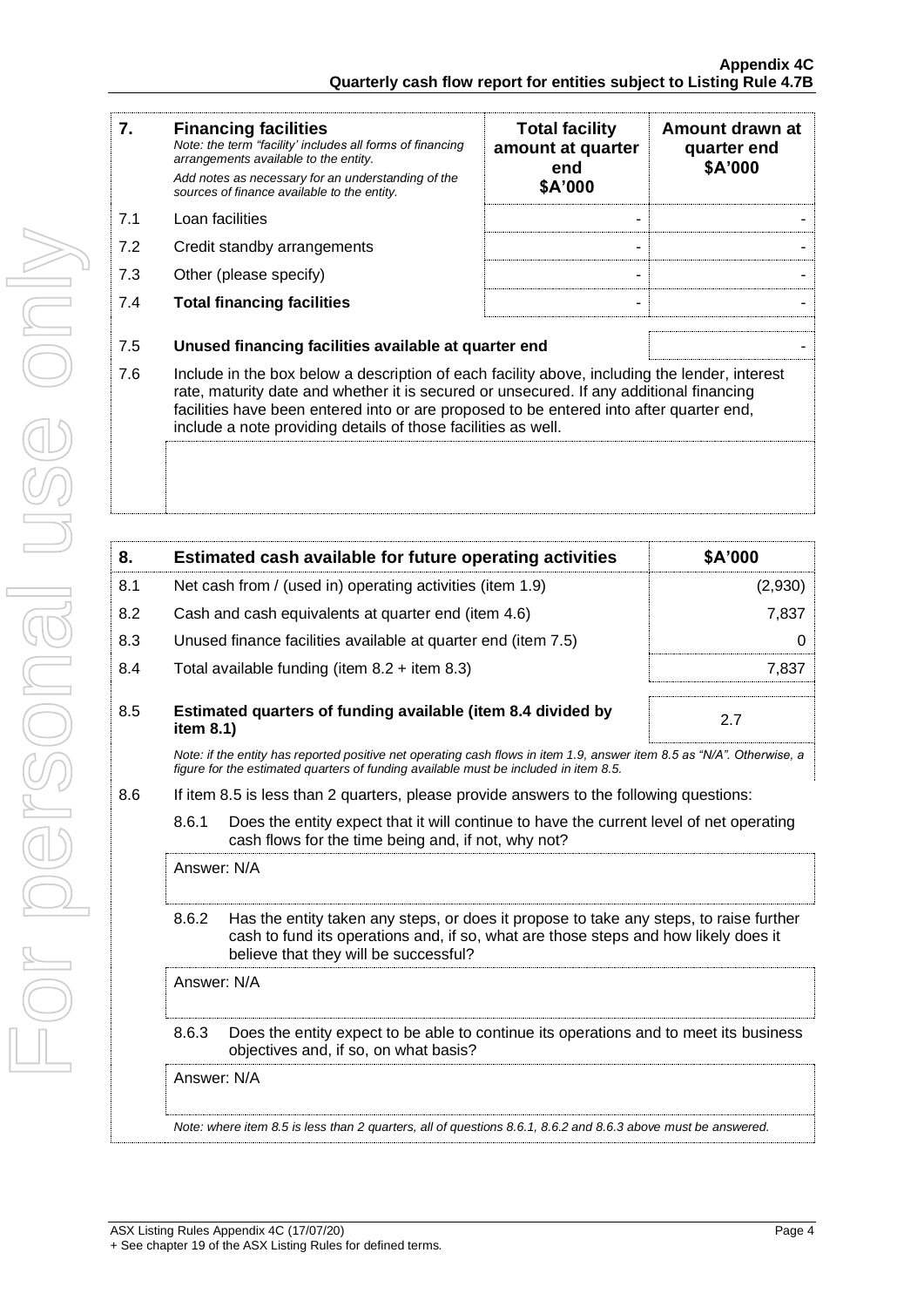| 7.  | <b>Financing facilities</b><br>Note: the term "facility' includes all forms of financing<br>arrangements available to the entity.<br>Add notes as necessary for an understanding of the<br>sources of finance available to the entity.                                                                                                               | <b>Total facility</b><br>amount at quarter<br>end<br>\$A'000 | Amount drawn at<br>quarter end<br>\$A'000 |  |  |
|-----|------------------------------------------------------------------------------------------------------------------------------------------------------------------------------------------------------------------------------------------------------------------------------------------------------------------------------------------------------|--------------------------------------------------------------|-------------------------------------------|--|--|
| 7.1 | Loan facilities                                                                                                                                                                                                                                                                                                                                      |                                                              |                                           |  |  |
| 7.2 | Credit standby arrangements                                                                                                                                                                                                                                                                                                                          |                                                              |                                           |  |  |
| 7.3 | Other (please specify)                                                                                                                                                                                                                                                                                                                               |                                                              |                                           |  |  |
| 7.4 | <b>Total financing facilities</b>                                                                                                                                                                                                                                                                                                                    |                                                              |                                           |  |  |
| 7.5 | Unused financing facilities available at quarter end                                                                                                                                                                                                                                                                                                 |                                                              |                                           |  |  |
| 7.6 | Include in the box below a description of each facility above, including the lender, interest<br>rate, maturity date and whether it is secured or unsecured. If any additional financing<br>facilities have been entered into or are proposed to be entered into after quarter end,<br>include a note providing details of those facilities as well. |                                                              |                                           |  |  |
|     |                                                                                                                                                                                                                                                                                                                                                      |                                                              |                                           |  |  |

| 8.  |       | Estimated cash available for future operating activities                                                                                                                                                               | \$A'000 |  |  |  |
|-----|-------|------------------------------------------------------------------------------------------------------------------------------------------------------------------------------------------------------------------------|---------|--|--|--|
| 8.1 |       | Net cash from / (used in) operating activities (item 1.9)                                                                                                                                                              | (2,930) |  |  |  |
| 8.2 |       | Cash and cash equivalents at quarter end (item 4.6)                                                                                                                                                                    | 7,837   |  |  |  |
| 8.3 |       | Unused finance facilities available at quarter end (item 7.5)                                                                                                                                                          | 0       |  |  |  |
| 8.4 |       | Total available funding (item $8.2 +$ item $8.3$ )                                                                                                                                                                     | 7,837   |  |  |  |
| 8.5 |       | Estimated quarters of funding available (item 8.4 divided by<br>2.7<br>item 8.1)                                                                                                                                       |         |  |  |  |
|     |       | Note: if the entity has reported positive net operating cash flows in item 1.9, answer item 8.5 as "N/A". Otherwise, a<br>figure for the estimated guarters of funding available must be included in item 8.5.         |         |  |  |  |
| 8.6 |       | If item 8.5 is less than 2 quarters, please provide answers to the following questions:                                                                                                                                |         |  |  |  |
|     | 8.6.1 | Does the entity expect that it will continue to have the current level of net operating<br>cash flows for the time being and, if not, why not?                                                                         |         |  |  |  |
|     |       | Answer: N/A                                                                                                                                                                                                            |         |  |  |  |
|     | 8.6.2 | Has the entity taken any steps, or does it propose to take any steps, to raise further<br>cash to fund its operations and, if so, what are those steps and how likely does it<br>believe that they will be successful? |         |  |  |  |
|     |       | Answer: N/A                                                                                                                                                                                                            |         |  |  |  |
|     | 8.6.3 | Does the entity expect to be able to continue its operations and to meet its business<br>objectives and, if so, on what basis?                                                                                         |         |  |  |  |
|     |       | Answer: N/A                                                                                                                                                                                                            |         |  |  |  |
|     |       | Note: where item 8.5 is less than 2 quarters, all of questions 8.6.1, 8.6.2 and 8.6.3 above must be answered.                                                                                                          |         |  |  |  |